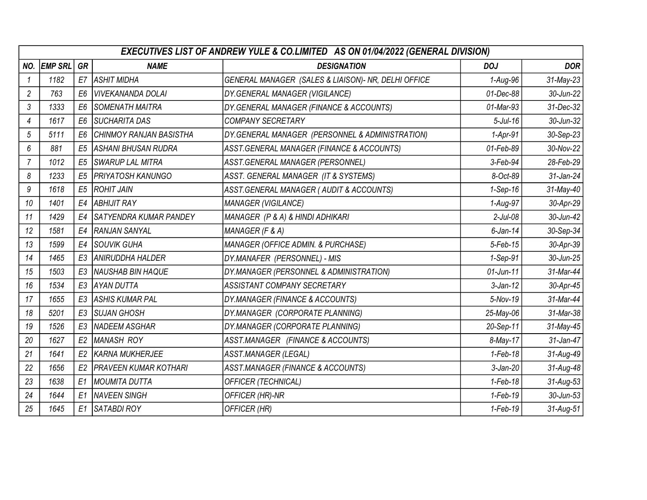|                | <b>EXECUTIVES LIST OF ANDREW YULE &amp; CO.LIMITED AS ON 01/04/2022 (GENERAL DIVISION)</b> |                |                               |                                                     |              |                 |  |  |
|----------------|--------------------------------------------------------------------------------------------|----------------|-------------------------------|-----------------------------------------------------|--------------|-----------------|--|--|
| NO.            | <b>EMP SRL</b>                                                                             | GR             | <b>NAME</b>                   | <b>DESIGNATION</b>                                  | <b>DOJ</b>   | <b>DOR</b>      |  |  |
|                | 1182                                                                                       | E7             | <b>ASHIT MIDHA</b>            | GENERAL MANAGER (SALES & LIAISON)- NR, DELHI OFFICE | 1-Aug-96     | 31-May-23       |  |  |
| 2              | 763                                                                                        | E <sub>6</sub> | VIVEKANANDA DOLAI             | DY.GENERAL MANAGER (VIGILANCE)                      | 01-Dec-88    | 30-Jun-22       |  |  |
| 3              | 1333                                                                                       | E <sub>6</sub> | <i>SOMENATH MAITRA</i>        | DY.GENERAL MANAGER (FINANCE & ACCOUNTS)             | 01-Mar-93    | 31-Dec-32       |  |  |
| 4              | 1617                                                                                       | E <sub>6</sub> | <i><b>SUCHARITA DAS</b></i>   | <b>COMPANY SECRETARY</b>                            | $5$ -Jul-16  | 30-Jun-32       |  |  |
| 5              | 5111                                                                                       | E <sub>6</sub> | CHINMOY RANJAN BASISTHA       | DY.GENERAL MANAGER (PERSONNEL & ADMINISTRATION)     | $1-Apr-91$   | 30-Sep-23       |  |  |
| 6              | 881                                                                                        | E <sub>5</sub> | ASHANI BHUSAN RUDRA           | ASST.GENERAL MANAGER (FINANCE & ACCOUNTS)           | 01-Feb-89    | 30-Nov-22       |  |  |
| $\overline{7}$ | 1012                                                                                       | E <sub>5</sub> | SWARUP LAL MITRA              | ASST.GENERAL MANAGER (PERSONNEL)                    | 3-Feb-94     | 28-Feb-29       |  |  |
| 8              | 1233                                                                                       | E <sub>5</sub> | PRIYATOSH KANUNGO             | ASST. GENERAL MANAGER (IT & SYSTEMS)                | 8-Oct-89     | 31-Jan-24       |  |  |
| 9              | 1618                                                                                       | E <sub>5</sub> | <b>ROHIT JAIN</b>             | ASST.GENERAL MANAGER (AUDIT & ACCOUNTS)             | $1-Sep-16$   | 31-May-40       |  |  |
| 10             | 1401                                                                                       | E4             | ABHIJIT RAY                   | <b>MANAGER (VIGILANCE)</b>                          | 1-Aug-97     | 30-Apr-29       |  |  |
| 11             | 1429                                                                                       | E4             | <b>SATYENDRA KUMAR PANDEY</b> | MANAGER (P & A) & HINDI ADHIKARI                    | $2$ -Jul-08  | 30-Jun-42       |  |  |
| 12             | 1581                                                                                       | E4             | RANJAN SANYAL                 | MANAGER (F & A)                                     | $6$ -Jan-14  | 30-Sep-34       |  |  |
| 13             | 1599                                                                                       | E4             | SOUVIK GUHA                   | MANAGER (OFFICE ADMIN. & PURCHASE)                  | $5$ -Feb-15  | 30-Apr-39       |  |  |
| 14             | 1465                                                                                       | E <sub>3</sub> | ANIRUDDHA HALDER              | DY.MANAFER (PERSONNEL) - MIS                        | 1-Sep-91     | 30-Jun-25       |  |  |
| 15             | 1503                                                                                       | E <sub>3</sub> | NAUSHAB BIN HAQUE             | DY.MANAGER (PERSONNEL & ADMINISTRATION)             | $01$ -Jun-11 | 31-Mar-44       |  |  |
| 16             | 1534                                                                                       | E <sub>3</sub> | AYAN DUTTA                    | <b>ASSISTANT COMPANY SECRETARY</b>                  | $3$ -Jan-12  | 30-Apr-45       |  |  |
| 17             | 1655                                                                                       | E <sub>3</sub> | ASHIS KUMAR PAL               | DY.MANAGER (FINANCE & ACCOUNTS)                     | 5-Nov-19     | 31-Mar-44       |  |  |
| 18             | 5201                                                                                       | E3             | <i><b>ISUJAN GHOSH</b></i>    | DY.MANAGER (CORPORATE PLANNING)                     | 25-May-06    | 31-Mar-38       |  |  |
| 19             | 1526                                                                                       | E <sub>3</sub> | NADEEM ASGHAR                 | DY.MANAGER (CORPORATE PLANNING)                     | 20-Sep-11    | 31-May-45       |  |  |
| 20             | 1627                                                                                       | E <sub>2</sub> | MANASH ROY                    | ASST.MANAGER (FINANCE & ACCOUNTS)                   | 8-May-17     | 31-Jan-47       |  |  |
| 21             | 1641                                                                                       | E <sub>2</sub> | <b>KARNA MUKHERJEE</b>        | <b>ASST.MANAGER (LEGAL)</b>                         | $1-Feb-18$   | 31-Aug-49       |  |  |
| 22             | 1656                                                                                       | E <sub>2</sub> | <b>PRAVEEN KUMAR KOTHARI</b>  | ASST.MANAGER (FINANCE & ACCOUNTS)                   | $3$ -Jan-20  | 31-Aug-48       |  |  |
| 23             | 1638                                                                                       | E <sub>1</sub> | MOUMITA DUTTA                 | <b>OFFICER (TECHNICAL)</b>                          | $1-Feb-18$   | 31-Aug-53       |  |  |
| 24             | 1644                                                                                       | E1             | <b>NAVEEN SINGH</b>           | OFFICER (HR)-NR                                     | $1-Feb-19$   | 30-Jun-53       |  |  |
| 25             | 1645                                                                                       | E <sub>1</sub> | <b>SATABDI ROY</b>            | OFFICER (HR)                                        | 1-Feb-19     | $31$ -Aug- $51$ |  |  |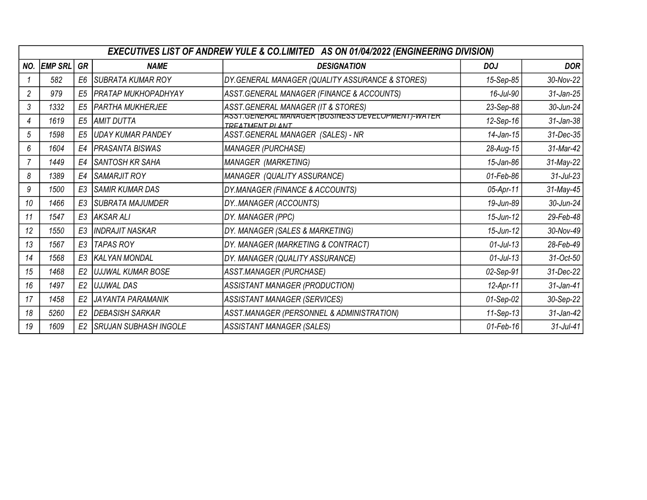|     | EXECUTIVES LIST OF ANDREW YULE & CO.LIMITED AS ON 01/04/2022 (ENGINEERING DIVISION) |                |                              |                                                                             |              |              |  |  |
|-----|-------------------------------------------------------------------------------------|----------------|------------------------------|-----------------------------------------------------------------------------|--------------|--------------|--|--|
| NO. | <b>EMP SRL</b>                                                                      | GR             | <b>NAME</b>                  | <b>DESIGNATION</b>                                                          | <b>DOJ</b>   | <b>DOR</b>   |  |  |
|     | 582                                                                                 | E <sub>6</sub> | SUBRATA KUMAR ROY            | DY.GENERAL MANAGER (QUALITY ASSURANCE & STORES)                             | 15-Sep-85    | 30-Nov-22    |  |  |
| 2   | 979                                                                                 | E <sub>5</sub> | PRATAP MUKHOPADHYAY          | ASST.GENERAL MANAGER (FINANCE & ACCOUNTS)                                   | 16-Jul-90    | 31-Jan-25    |  |  |
| 3   | 1332                                                                                | E <sub>5</sub> | <b>PARTHA MUKHERJEE</b>      | ASST.GENERAL MANAGER (IT & STORES)                                          | 23-Sep-88    | 30-Jun-24    |  |  |
| 4   | 1619                                                                                | E <sub>5</sub> | AMIT DUTTA                   | ASST.GENERAL MANAGER (BUSINESS DEVELOPMENT)-WATER<br><b>TREATMENT PLANT</b> | 12-Sep-16    | 31-Jan-38    |  |  |
| 5   | 1598                                                                                | E <sub>5</sub> | UDAY KUMAR PANDEY            | ASST.GENERAL MANAGER (SALES) - NR                                           | $14$ -Jan-15 | 31-Dec-35    |  |  |
| 6   | 1604                                                                                | E4             | PRASANTA BISWAS              | <b>MANAGER (PURCHASE)</b>                                                   | 28-Aug-15    | 31-Mar-42    |  |  |
|     | 1449                                                                                | E4             | SANTOSH KR SAHA              | MANAGER (MARKETING)                                                         | 15-Jan-86    | 31-May-22    |  |  |
| 8   | 1389                                                                                | E4             | SAMARJIT ROY                 | MANAGER (QUALITY ASSURANCE)                                                 | 01-Feb-86    | $31$ -Jul-23 |  |  |
| 9   | 1500                                                                                | E <sub>3</sub> | SAMIR KUMAR DAS              | DY.MANAGER (FINANCE & ACCOUNTS)                                             | 05-Apr-11    | 31-May-45    |  |  |
| 10  | 1466                                                                                | E <sub>3</sub> | <b>SUBRATA MAJUMDER</b>      | DYMANAGER (ACCOUNTS)                                                        | 19-Jun-89    | 30-Jun-24    |  |  |
| 11  | 1547                                                                                | E <sub>3</sub> | AKSAR ALI                    | DY. MANAGER (PPC)                                                           | $15$ -Jun-12 | 29-Feb-48    |  |  |
| 12  | 1550                                                                                | E <sub>3</sub> | <b>INDRAJIT NASKAR</b>       | DY. MANAGER (SALES & MARKETING)                                             | $15$ -Jun-12 | 30-Nov-49    |  |  |
| 13  | 1567                                                                                | E <sub>3</sub> | TAPAS ROY                    | DY. MANAGER (MARKETING & CONTRACT)                                          | $01$ -Jul-13 | 28-Feb-49    |  |  |
| 14  | 1568                                                                                | E3             | <b>KALYAN MONDAL</b>         | DY. MANAGER (QUALITY ASSURANCE)                                             | $01$ -Jul-13 | 31-Oct-50    |  |  |
| 15  | 1468                                                                                | E <sub>2</sub> | UJJWAL KUMAR BOSE            | ASST.MANAGER (PURCHASE)                                                     | 02-Sep-91    | 31-Dec-22    |  |  |
| 16  | 1497                                                                                | E <sub>2</sub> | I <i>UJJWAL DAS</i>          | ASSISTANT MANAGER (PRODUCTION)                                              | 12-Apr-11    | 31-Jan-41    |  |  |
| 17  | 1458                                                                                | E <sub>2</sub> | JAYANTA PARAMANIK            | <b>ASSISTANT MANAGER (SERVICES)</b>                                         | $01-Sep-02$  | 30-Sep-22    |  |  |
| 18  | 5260                                                                                | E <sub>2</sub> | <b>DEBASISH SARKAR</b>       | ASST.MANAGER (PERSONNEL & ADMINISTRATION)                                   | 11-Sep-13    | 31-Jan-42    |  |  |
| 19  | 1609                                                                                | E <sub>2</sub> | <b>SRUJAN SUBHASH INGOLE</b> | <b>ASSISTANT MANAGER (SALES)</b>                                            | 01-Feb-16    | $31$ -Jul-41 |  |  |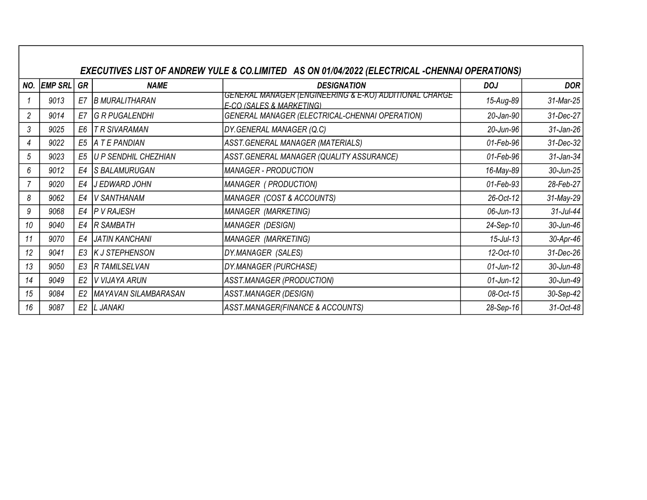|     | EXECUTIVES LIST OF ANDREW YULE & CO.LIMITED AS ON 01/04/2022 (ELECTRICAL -CHENNAI OPERATIONS) |                |                       |                                                                                               |              |              |  |  |  |
|-----|-----------------------------------------------------------------------------------------------|----------------|-----------------------|-----------------------------------------------------------------------------------------------|--------------|--------------|--|--|--|
| NO. | <b>EMP SRL</b>                                                                                | GR             | <b>NAME</b>           | <b>DESIGNATION</b>                                                                            | <b>DOJ</b>   | <b>DOR</b>   |  |  |  |
|     | 9013                                                                                          | E7             | <b>B MURALITHARAN</b> | GENERAL MANAGER (ENGINEERING & E-KO) ADDITIONAL CHARGE<br><b>F-CO (SALES &amp; MARKETING)</b> | 15-Aug-89    | 31-Mar-25    |  |  |  |
| 2   | 9014                                                                                          | E7             | <b>G R PUGALENDHI</b> | GENERAL MANAGER (ELECTRICAL-CHENNAI OPERATION)                                                | 20-Jan-90    | 31-Dec-27    |  |  |  |
| 3   | 9025                                                                                          | E <sub>6</sub> | T R SIVARAMAN         | DY.GENERAL MANAGER (Q.C)                                                                      | 20-Jun-96    | $31$ -Jan-26 |  |  |  |
| 4   | 9022                                                                                          | E <sub>5</sub> | A T E PANDIAN         | ASST.GENERAL MANAGER (MATERIALS)                                                              | 01-Feb-96    | 31-Dec-32    |  |  |  |
| 5   | 9023                                                                                          | E <sub>5</sub> | U P SENDHIL CHEZHIAN  | ASST.GENERAL MANAGER (QUALITY ASSURANCE)                                                      | 01-Feb-96    | 31-Jan-34    |  |  |  |
| 6   | 9012                                                                                          | E4             | <b>S BALAMURUGAN</b>  | <b>MANAGER - PRODUCTION</b>                                                                   | 16-May-89    | 30-Jun-25    |  |  |  |
|     | 9020                                                                                          | E4             | IJ EDWARD JOHN        | MANAGER (PRODUCTION)                                                                          | 01-Feb-93    | 28-Feb-27    |  |  |  |
| 8   | 9062                                                                                          | E4             | V SANTHANAM           | MANAGER (COST & ACCOUNTS)                                                                     | 26-Oct-12    | 31-May-29    |  |  |  |
| 9   | 9068                                                                                          | E4             | <b>P V RAJESH</b>     | MANAGER (MARKETING)                                                                           | 06-Jun-13    | $31$ -Jul-44 |  |  |  |
| 10  | 9040                                                                                          | E4             | <b>R SAMBATH</b>      | MANAGER (DESIGN)                                                                              | 24-Sep-10    | 30-Jun-46    |  |  |  |
| 11  | 9070                                                                                          | E4             | <b>JATIN KANCHANI</b> | MANAGER (MARKETING)                                                                           | $15$ -Jul-13 | 30-Apr-46    |  |  |  |
| 12  | 9041                                                                                          | E3             | K J STEPHENSON        | DY.MANAGER (SALES)                                                                            | 12-Oct-10    | 31-Dec-26    |  |  |  |
| 13  | 9050                                                                                          | E3             | <b>R TAMILSELVAN</b>  | DY.MANAGER (PURCHASE)                                                                         | $01$ -Jun-12 | 30-Jun-48    |  |  |  |
| 14  | 9049                                                                                          | E <sub>2</sub> | V VIJAYA ARUN         | ASST.MANAGER (PRODUCTION)                                                                     | $01$ -Jun-12 | 30-Jun-49    |  |  |  |
| 15  | 9084                                                                                          | E <sub>2</sub> | MAYAVAN SILAMBARASAN  | ASST.MANAGER (DESIGN)                                                                         | 08-Oct-15    | 30-Sep-42    |  |  |  |
| 16  | 9087                                                                                          |                | E2  L JANAKI          | ASST.MANAGER(FINANCE & ACCOUNTS)                                                              | 28-Sep-16    | 31-Oct-48    |  |  |  |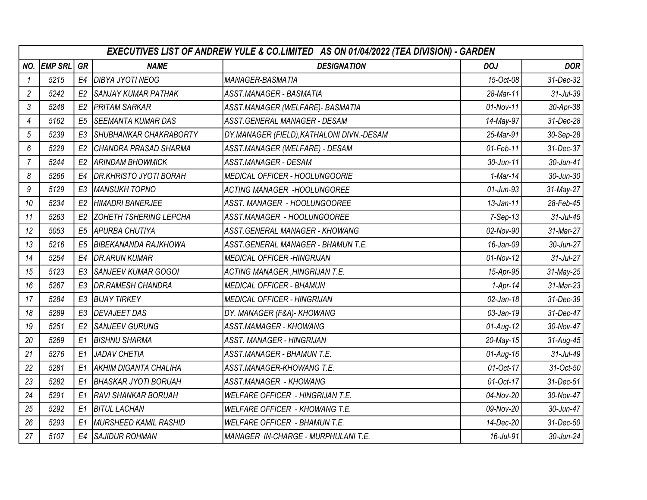|                | EXECUTIVES LIST OF ANDREW YULE & CO.LIMITED AS ON 01/04/2022 (TEA DIVISION) - GARDEN |                |                               |                                           |                 |                 |  |  |
|----------------|--------------------------------------------------------------------------------------|----------------|-------------------------------|-------------------------------------------|-----------------|-----------------|--|--|
| NO.            | <b>EMP SRL</b>                                                                       | GR             | <b>NAME</b>                   | <b>DESIGNATION</b>                        | <b>DOJ</b>      | <b>DOR</b>      |  |  |
| $\mathcal I$   | 5215                                                                                 | E4             | <b>DIBYA JYOTI NEOG</b>       | MANAGER-BASMATIA                          | 15-Oct-08       | 31-Dec-32       |  |  |
| $\overline{c}$ | 5242                                                                                 | E <sub>2</sub> | <b>SANJAY KUMAR PATHAK</b>    | ASST.MANAGER - BASMATIA                   | 28-Mar-11       | $31$ -Jul- $39$ |  |  |
| 3              | 5248                                                                                 | E <sub>2</sub> | <b>PRITAM SARKAR</b>          | ASST.MANAGER (WELFARE)- BASMATIA          | 01-Nov-11       | 30-Apr-38       |  |  |
| 4              | 5162                                                                                 | E <sub>5</sub> | <b>SEEMANTA KUMAR DAS</b>     | ASST.GENERAL MANAGER - DESAM              | 14-May-97       | 31-Dec-28       |  |  |
| 5              | 5239                                                                                 | E <sub>3</sub> | SHUBHANKAR CHAKRABORTY        | DY.MANAGER (FIELD), KATHALONI DIVN.-DESAM | 25-Mar-91       | 30-Sep-28       |  |  |
| 6              | 5229                                                                                 | E <sub>2</sub> | CHANDRA PRASAD SHARMA         | ASST.MANAGER (WELFARE) - DESAM            | 01-Feb-11       | 31-Dec-37       |  |  |
| $\overline{7}$ | 5244                                                                                 | E <sub>2</sub> | <b>ARINDAM BHOWMICK</b>       | ASST.MANAGER - DESAM                      | 30-Jun-11       | 30-Jun-41       |  |  |
| 8              | 5266                                                                                 | E4             | DR.KHRISTO JYOTI BORAH        | <b>MEDICAL OFFICER - HOOLUNGOORIE</b>     | $1$ -Mar-14     | 30-Jun-30       |  |  |
| 9              | 5129                                                                                 | E <sub>3</sub> | <b>MANSUKH TOPNO</b>          | <b>ACTING MANAGER -HOOLUNGOREE</b>        | $01$ -Jun- $93$ | 31-May-27       |  |  |
| 10             | 5234                                                                                 | E <sub>2</sub> | HIMADRI BANERJEE              | ASST. MANAGER - HOOLUNGOOREE              | $13$ -Jan-11    | 28-Feb-45       |  |  |
| 11             | 5263                                                                                 | E <sub>2</sub> | <b>ZOHETH TSHERING LEPCHA</b> | ASST.MANAGER - HOOLUNGOOREE               | $7-Sep-13$      | $31$ -Jul-45    |  |  |
| 12             | 5053                                                                                 | E <sub>5</sub> | APURBA CHUTIYA                | ASST.GENERAL MANAGER - KHOWANG            | 02-Nov-90       | 31-Mar-27       |  |  |
| 13             | 5216                                                                                 | E <sub>5</sub> | <b>BIBEKANANDA RAJKHOWA</b>   | ASST.GENERAL MANAGER - BHAMUN T.E.        | 16-Jan-09       | 30-Jun-27       |  |  |
| 14             | 5254                                                                                 | E4             | <b>DR.ARUN KUMAR</b>          | <b>MEDICAL OFFICER -HINGRIJAN</b>         | 01-Nov-12       | $31$ -Jul-27    |  |  |
| 15             | 5123                                                                                 | E3             | <b>SANJEEV KUMAR GOGOI</b>    | <b>ACTING MANAGER, HINGRIJAN T.E.</b>     | 15-Apr-95       | 31-May-25       |  |  |
| 16             | 5267                                                                                 | E <sub>3</sub> | <b>DR.RAMESH CHANDRA</b>      | <b>MEDICAL OFFICER - BHAMUN</b>           | $1-Apr-14$      | 31-Mar-23       |  |  |
| 17             | 5284                                                                                 | E3             | <b>BIJAY TIRKEY</b>           | MEDICAL OFFICER - HINGRIJAN               | $02$ -Jan-18    | 31-Dec-39       |  |  |
| 18             | 5289                                                                                 | E3             | <b>DEVAJEET DAS</b>           | DY. MANAGER (F&A)- KHOWANG                | 03-Jan-19       | 31-Dec-47       |  |  |
| 19             | 5251                                                                                 | E <sub>2</sub> | <b>SANJEEV GURUNG</b>         | ASST.MAMAGER - KHOWANG                    | $01$ -Aug-12    | 30-Nov-47       |  |  |
| 20             | 5269                                                                                 | E1             | <b>BISHNU SHARMA</b>          | <b>ASST. MANAGER - HINGRIJAN</b>          | $20$ -May-15    | 31-Aug-45       |  |  |
| 21             | 5276                                                                                 | E <sub>1</sub> | <b>JADAV CHETIA</b>           | ASST.MANAGER - BHAMUN T.E.                | $01$ -Aug-16    | 31-Jul-49       |  |  |
| 22             | 5281                                                                                 | E1             | <b>AKHIM DIGANTA CHALIHA</b>  | ASST.MANAGER-KHOWANG T.E.                 | 01-Oct-17       | 31-Oct-50       |  |  |
| 23             | 5282                                                                                 | E1             | <b>BHASKAR JYOTI BORUAH</b>   | ASST.MANAGER - KHOWANG                    | 01-Oct-17       | 31-Dec-51       |  |  |
| 24             | 5291                                                                                 | E1             | <b>RAVI SHANKAR BORUAH</b>    | <b>WELFARE OFFICER - HINGRIJAN T.E.</b>   | 04-Nov-20       | 30-Nov-47       |  |  |
| 25             | 5292                                                                                 | E1             | <b>BITUL LACHAN</b>           | WELFARE OFFICER - KHOWANG T.E.            | 09-Nov-20       | 30-Jun-47       |  |  |
| 26             | 5293                                                                                 | E1             | <b>MURSHEED KAMIL RASHID</b>  | <b>WELFARE OFFICER - BHAMUN T.E.</b>      | 14-Dec-20       | 31-Dec-50       |  |  |
| 27             | 5107                                                                                 | E4             | <b>SAJIDUR ROHMAN</b>         | MANAGER IN-CHARGE - MURPHULANI T.E.       | 16-Jul-91       | 30-Jun-24       |  |  |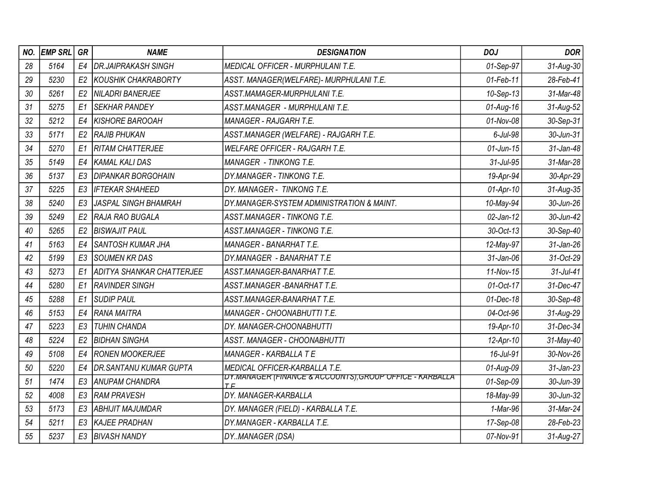| NO. | <b>EMP SRL</b> | GR             | <b>NAME</b>                     | <b>DESIGNATION</b>                                              | <b>DOJ</b>     | <b>DOR</b>   |
|-----|----------------|----------------|---------------------------------|-----------------------------------------------------------------|----------------|--------------|
| 28  | 5164           | E4             | <b>DR.JAIPRAKASH SINGH</b>      | MEDICAL OFFICER - MURPHULANI T.E.                               | 01-Sep-97      | 31-Aug-30    |
| 29  | 5230           | E <sub>2</sub> | KOUSHIK CHAKRABORTY             | ASST. MANAGER(WELFARE)- MURPHULANI T.E.                         | 01-Feb-11      | 28-Feb-41    |
| 30  | 5261           | E <sub>2</sub> | NILADRI BANERJEE                | ASST.MAMAGER-MURPHULANI T.E.                                    | 10-Sep-13      | 31-Mar-48    |
| 31  | 5275           | E1             | <b>SEKHAR PANDEY</b>            | ASST.MANAGER - MURPHULANI T.E.                                  | $01$ -Aug-16   | 31-Aug-52    |
| 32  | 5212           | E4             | <i>KISHORE BAROOAH</i>          | <b>MANAGER - RAJGARH T.E.</b>                                   | 01-Nov-08      | 30-Sep-31    |
| 33  | 5171           | E <sub>2</sub> | <b>RAJIB PHUKAN</b>             | ASST.MANAGER (WELFARE) - RAJGARH T.E.                           | $6$ -Jul- $98$ | 30-Jun-31    |
| 34  | 5270           | E1             | <i>RITAM CHATTERJEE</i>         | <b>WELFARE OFFICER - RAJGARH T.E.</b>                           | $01$ -Jun-15   | 31-Jan-48    |
| 35  | 5149           | E4             | KAMAL KALI DAS                  | MANAGER - TINKONG T.E.                                          | 31-Jul-95      | 31-Mar-28    |
| 36  | 5137           | E <sub>3</sub> | <b>DIPANKAR BORGOHAIN</b>       | DY.MANAGER - TINKONG T.E.                                       | 19-Apr-94      | 30-Apr-29    |
| 37  | 5225           | E <sub>3</sub> | IFTEKAR SHAHEED                 | DY. MANAGER - TINKONG T.E.                                      | $01-Apr-10$    | 31-Aug-35    |
| 38  | 5240           | E <sub>3</sub> | JASPAL SINGH BHAMRAH            | DY.MANAGER-SYSTEM ADMINISTRATION & MAINT.                       | 10-May-94      | 30-Jun-26    |
| 39  | 5249           | E <sub>2</sub> | RAJA RAO BUGALA                 | <b>ASST.MANAGER - TINKONG T.E.</b>                              | $02$ -Jan-12   | 30-Jun-42    |
| 40  | 5265           | E <sub>2</sub> | <b>BISWAJIT PAUL</b>            | <b>ASST.MANAGER - TINKONG T.E.</b>                              | 30-Oct-13      | 30-Sep-40    |
| 41  | 5163           | E <sub>4</sub> | <i><b>SANTOSH KUMAR JHA</b></i> | <b>MANAGER - BANARHAT T.E.</b>                                  | 12-May-97      | 31-Jan-26    |
| 42  | 5199           | E <sub>3</sub> | SOUMEN KR DAS                   | DY.MANAGER - BANARHAT T.E                                       | $31$ -Jan-06   | 31-Oct-29    |
| 43  | 5273           | E1             | ADITYA SHANKAR CHATTERJEE       | ASST.MANAGER-BANARHAT T.E.                                      | 11-Nov-15      | $31$ -Jul-41 |
| 44  | 5280           | E1             | RAVINDER SINGH                  | ASST.MANAGER-BANARHAT T.E.                                      | 01-Oct-17      | 31-Dec-47    |
| 45  | 5288           | E1             | SUDIP PAUL                      | ASST.MANAGER-BANARHAT T.E.                                      | 01-Dec-18      | 30-Sep-48    |
| 46  | 5153           | E4             | lrana maitra                    | <b>MANAGER - CHOONABHUTTI T.E.</b>                              | 04-Oct-96      | 31-Aug-29    |
| 47  | 5223           | E <sub>3</sub> | TUHIN CHANDA                    | DY. MANAGER-CHOONABHUTTI                                        | 19-Apr-10      | 31-Dec-34    |
| 48  | 5224           | E <sub>2</sub> | <b>BIDHAN SINGHA</b>            | ASST. MANAGER - CHOONABHUTTI                                    | 12-Apr-10      | 31-May-40    |
| 49  | 5108           | E4             | <b>RONEN MOOKERJEE</b>          | MANAGER - KARBALLA TE                                           | 16-Jul-91      | 30-Nov-26    |
| 50  | 5220           | E4             | <b>DR.SANTANU KUMAR GUPTA</b>   | MEDICAL OFFICER-KARBALLA T.E.                                   | 01-Aug-09      | $31$ -Jan-23 |
| 51  | 1474           | E3             | ANUPAM CHANDRA                  | DY.MANAGER (FINANCE & ACCOUNTS), GROUP OFFICE - KARBALLA<br>T E | 01-Sep-09      | 30-Jun-39    |
| 52  | 4008           | E <sub>3</sub> | <b>RAM PRAVESH</b>              | DY. MANAGER-KARBALLA                                            | 18-May-99      | 30-Jun-32    |
| 53  | 5173           | E <sub>3</sub> | ABHIJIT MAJUMDAR                | DY. MANAGER (FIELD) - KARBALLA T.E.                             | 1-Mar-96       | 31-Mar-24    |
| 54  | 5211           | E <sub>3</sub> | KAJEE PRADHAN                   | DY.MANAGER - KARBALLA T.E.                                      | 17-Sep-08      | 28-Feb-23    |
| 55  | 5237           | E <sub>3</sub> | <b>BIVASH NANDY</b>             | DYMANAGER (DSA)                                                 | 07-Nov-91      | 31-Aug-27    |